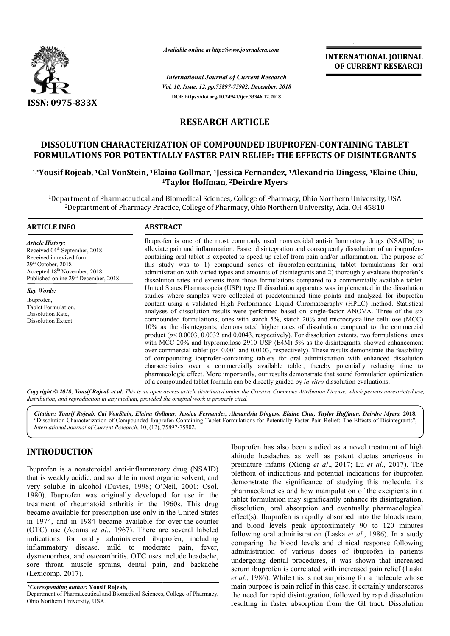

*Available online at http://www.journalcra.com*

*Vol. 10, Issue, 12, pp.75897-75902, December, 2018 International Journal of Current Research* **DOI: https://doi.org/10.24941/ijcr.33346.12.2018**

**INTERNATIONAL JOURNAL OF CURRENT RESEARCH**

### **RESEARCH ARTICLE**

## **DISSOLUTION CHARACTERIZATION OF COMPOUNDED IBUPROFEN IBUPROFEN-CONTAINING TABLET FORMULATIONS FOR POTENTIALLY FASTER PAIN RELIEF: THE EFFECTS OF DISINTEGRANTS DISSOLUTION CHARACTERIZATION OF COMPOUNDED IBUPROFEN-CONTAINING TABLET**<br>**FORMULATIONS FOR POTENTIALLY FASTER PAIN RELIEF: THE EFFECTS OF DISINTEGRANTS**<br><sup>1,\*</sup>Yousif Rojeab, <sup>1</sup>Cal VonStein, <sup>1</sup>Elaina Gollmar, <sup>1</sup>Jessica Fe

# **1 1Taylor Hoffman, 2Deirdre Myers**

1Department of Pharmaceutical and Biomedical Sciences, College of Pharmacy, Ohio Northern Northern University, USA 2Deptartment of Pharmacy Practice, College of Pharmacy, Ohio Northern University, Ada, OH 45810 Deptartment of Ohio Northern 45810

#### **ARTICLE INFO ABSTRACT** Ibuprofen is one of the most commonly used nonsteroidal anti-inflammatory drugs (NSAIDs) to alleviate pain and inflammation. Faster disintegration and consequently dissolution of an ibuprofencontaining oral tablet is expected to speed up relief from pain and/or inflammation. The purpose of this study was to 1) compound series of ibuprofen-containing tablet formulations for oral administration with varied types and amounts of disintegrants and 2) thoroughly evaluate ibuprofen's dissolution rates and extents from those formulations compared to a commercially available tablet. United States Pharmacopeia (USP) type II dissolution apparatus was implemented in the dissolution studies where samples were collected at predetermined time points and analyzed for ibuprofen content using a validated High Performance Liquid Chromatography (HPLC) method. Statistical analyses of dissolution results were performed based on single-factor ANOVA. Three of the six compounded formulations; ones with starch 5%, starch 20% and microcrystalline cellulose (MCC) compounded formulations; ones with starch 5%, starch 20% and microcrystalline cellulose (MCC) 10% as the disintegrants, demonstrated higher rates of dissolution compared to the commercial product  $(p< 0.0003, 0.0032, and 0.0043, respectively)$ . For dissolution extents, two formulations; ones with MCC 20% and hypromellose 2910 USP (E4M) 5% as the disintegrants, showed enhancement over commercial tablet  $(p< 0.001$  and 0.0103, respectively). These results demonstrate the feasibility of compounding ibuprofen-containing tablets for oral administration with enhanced dissolution characteristics over a commercially available tablet, thereby potentially reducing time to pharmacologic effect. More importantly, our results demonstrate that sound formulation optimization of a compounded tablet formula can be directly guided by *in vitro Article History:* Received 04<sup>th</sup> September, 2018 Received in revised form  $29<sup>th</sup>$  October, 2018 Accepted 18<sup>th</sup> November, 2018 Published online 29<sup>th</sup> December, 2018 *Key Words:* Ibuprofen, Tablet Formulation, Dissolution Rate, Dissolution Extent containing oral tablet is expected to speed up relief from pain and/or inflammation. The purpose of this study was to 1) compound series of ibuprofen-containing tablet formulations for oral administration with varied types product ( $p$ < 0.0003, 0.0032 and 0.0043, respectively). For dissolution extents, two formulations; ones with MCC 20% and hypromellose 2910 USP (E4M) 5% as the disintegrants, showed enhancement over commercial tablet ( $p$ <

Copyright © 2018, Yousif Rojeab et al. This is an open access article distributed under the Creative Commons Attribution License, which permits unrestricted use, *distribution, and reproduction in any medium, provided the original work is properly cited.*

Citation: Yousif Rojeab, Cal VonStein, Elaina Gollmar, Jessica Fernandez, Alexandria Dingess, Elaine Chiu, Taylor Hoffman, Deirdre Myers. 2018. "Dissolution Characterization of Compounded Ibuprofen-Containing Tablet Formulations for Potentially Faster Pain Relief: The Effects of Disintegrants", *International Journal of Current Research*, 10, (12), 75897 75897-75902.

#### **INTRODUCTION**

Ibuprofen is a nonsteroidal anti-inflammatory drug (NSAID) that is weakly acidic, and soluble in most organic solvent, and very soluble in alcohol (Davies, 1998; O'Neil, 2001; Osol, 1980). Ibuprofen was originally developed for use in the treatment of rheumatoid arthritis in the 1960s. This drug became available for prescription use only in the United States in 1974, and in 1984 became available for over-the-counter (OTC) use (Adams *et al*., 1967). There are several labeled indications for orally administered ibuprofen, including inflammatory disease, mild to moderate pain, fever, dysmenorrhea, and osteoarthritis. OTC uses include headache, sore throat, muscle sprains, dental pain, and backach backache (Lexicomp, 2017). inflammatory drug (NSAID)<br>in most organic solvent, and<br>, 1998; O'Neil, 2001; Osol, Ibuprofen has also been studied as a novel treatment of high altitude headaches as well as patent ductus arteriosus in Ibuprofen has also been studied as a novel treatment of high altitude headaches as well as patent ductus arteriosus in premature infants (Xiong *et al.*, 2017; Lu *et al.*, 2017). The plethora of indications and potential indications for ibuprofen demonstrate the significance of studying this molecule, its pharmacokinetics and how manipulation of the excipients in a tablet formulation may significantly enhance its disintegration, dissolution, oral absorption and eventually pharmacological effect(s). Ibuprofen is rapidly absorbed into the bloodstream, and blood levels peak approximately 90 to 120 minutes following oral administration (Laska *et al.*, 1986). In a study comparing the blood levels and clinical response following comparing the blood levels and clinical response following<br>administration of various doses of ibuprofen in patients undergoing dental procedures, it was shown that increased undergoing dental procedures, it was shown that increased<br>serum ibuprofen is correlated with increased pain relief (Laska *et al*., 1986). While this is not surprising for a molecule whose et al., 1986). While this is not surprising for a molecule whose main purpose is pain relief in this case, it certainly underscores the need for rapid disintegration, followed by rapid dissolution resulting in faster absorption from the GI tract. Dissolution resulting in faster absorption from the GI tract. indications for ibuprofen<br>significance of studying this molecule, its<br>and how manipulation of the excipients in a<br>may significantly enhance its disintegration,<br>absorption and eventually pharmacological<br>m is rapidly absorbe

*<sup>\*</sup>Corresponding author:* **Yousif Rojeab,**

Department of Pharmaceutical and Biomedical Sciences, College of Pharmacy, Ohio Northern University, USA.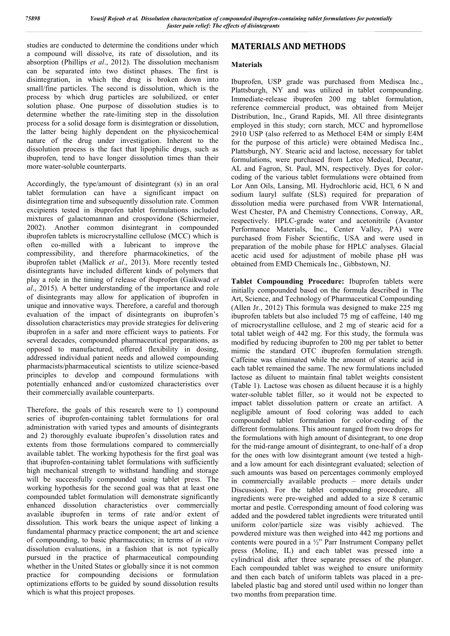studies are conducted to determine the conditions under which a compound will dissolve, its rate of dissolution, and its absorption (Phillips *et al*., 2012). The dissolution mechanism can be separated into two distinct phases. The first is disintegration, in which the drug is broken down into small/fine particles. The second is dissolution, which is the process by which drug particles are solubilized, or enter solution phase. One purpose of dissolution studies is to determine whether the rate-limiting step in the dissolution process for a solid dosage form is disintegration or dissolution, the latter being highly dependent on the physicochemical nature of the drug under investigation. Inherent to the dissolution process is the fact that lipophilic drugs, such as ibuprofen, tend to have longer dissolution times than their more water-soluble counterparts.

Accordingly, the type/amount of disintegrant (s) in an oral tablet formulation can have a significant impact on disintegration time and subsequently dissolution rate. Common excipients tested in ibuprofen tablet formulations included mixtures of galactomannan and crospovidone (Schiermeier, 2002). Another common disintegrant in compounded ibuprofen tablets is microcrystalline cellulose (MCC) which is often co-milled with a lubricant to improve the compressibility, and therefore pharmacokinetics, of the ibuprofen tablet (Mallick *et al*., 2013). More recently tested disintegrants have included different kinds of polymers that play a role in the timing of release of ibuprofen (Gaikwad *et al*., 2015). A better understanding of the importance and role of disintegrants may allow for application of ibuprofen in unique and innovative ways. Therefore, a careful and thorough evaluation of the impact of disintegrants on ibuprofen's dissolution characteristics may provide strategies for delivering ibuprofen in a safer and more efficient ways to patients. For several decades, compounded pharmaceutical preparations, as opposed to manufactured, offered flexibility in dosing, addressed individual patient needs and allowed compounding pharmacists/pharmaceutical scientists to utilize science-based principles to develop and compound formulations with potentially enhanced and/or customized characteristics over their commercially available counterparts.

Therefore, the goals of this research were to 1) compound series of ibuprofen-containing tablet formulations for oral administration with varied types and amounts of disintegrants and 2) thoroughly evaluate ibuprofen's dissolution rates and extents from those formulations compared to commercially available tablet. The working hypothesis for the first goal was that ibuprofen-containing tablet formulations with sufficiently high mechanical strength to withstand handling and storage will be successfully compounded using tablet press. The working hypothesis for the second goal was that at least one compounded tablet formulation will demonstrate significantly enhanced dissolution characteristics over commercially available ibuprofen in terms of rate and/or extent of dissolution. This work bears the unique aspect of linking a fundamental pharmacy practice component; the art and science of compounding, to basic pharmaceutics; in terms of *in vitro* dissolution evaluations, in a fashion that is not typically pursued in the practice of pharmaceutical compounding whether in the United States or globally since it is not common practice for compounding decisions or formulation optimizations efforts to be guided by sound dissolution results which is what this project proposes.

### **MATERIALS AND METHODS**

#### **Materials**

Ibuprofen, USP grade was purchased from Medisca Inc., Plattsburgh, NY and was utilized in tablet compounding. Immediate-release ibuprofen 200 mg tablet formulation, reference commercial product, was obtained from Meijer Distribution, Inc., Grand Rapids, MI. All three disintegrants employed in this study; corn starch, MCC and hypromellose 2910 USP (also referred to as Methocel E4M or simply E4M for the purpose of this article) were obtained Medisca Inc., Plattsburgh, NY. Stearic acid and lactose, necessary for tablet formulations, were purchased from Letco Medical, Decatur, AL and Fagron, St. Paul, MN, respectively. Dyes for colorcoding of the various tablet formulations were obtained from Lor Ann Oils, Lansing, MI. Hydrochloric acid, HCl, 6 N and sodium lauryl sulfate (SLS) required for preparation of dissolution media were purchased from VWR International, West Chester, PA and Chemistry Connections, Conway, AR, respectively. HPLC-grade water and acetonitrile (Avantor Performance Materials, Inc., Center Valley, PA) were purchased from Fisher Scientific, USA and were used in preparation of the mobile phase for HPLC analyses. Glacial acetic acid used for adjustment of mobile phase pH was obtained from EMD Chemicals Inc., Gibbstown, NJ.

**Tablet Compounding Procedure:** Ibuprofen tablets were initially compounded based on the formula described in The Art, Science, and Technology of Pharmaceutical Compounding (Allen Jr., 2012) This formula was designed to make 225 mg ibuprofen tablets but also included 75 mg of caffeine, 140 mg of microcrystalline cellulose, and 2 mg of stearic acid for a total tablet weigh of 442 mg. For this study, the formula was modified by reducing ibuprofen to 200 mg per tablet to better mimic the standard OTC ibuprofen formulation strength. Caffeine was eliminated while the amount of stearic acid in each tablet remained the same. The new formulations included lactose as diluent to maintain final tablet weights consistent (Table 1). Lactose was chosen as diluent because it is a highly water-soluble tablet filler, so it would not be expected to impact tablet dissolution pattern or create an artifact. A negligible amount of food coloring was added to each compounded tablet formulation for color-coding of the different formulations. This amount ranged from two drops for the formulations with high amount of disintegrant, to one drop for the mid-range amount of disintegrant, to one-half of a drop for the ones with low disintegrant amount (we tested a highand a low amount for each disintegrant evaluated; selection of such amounts was based on percentages commonly employed in commercially available products – more details under Discussion). For the tablet compounding procedure, all ingredients were pre-weighed and added to a size 8 ceramic mortar and pestle. Corresponding amount of food coloring was added and the powdered tablet ingredients were triturated until uniform color/particle size was visibly achieved. The powdered mixture was then weighed into 442 mg portions and contents were poured in a ½" Parr Instrument Company pellet press (Moline, IL) and each tablet was pressed into a cylindrical disk after three separate presses of the plunger. Each compounded tablet was weighed to ensure uniformity and then each batch of uniform tablets was placed in a prelabeled plastic bag and stored until used within no longer than two months from preparation time.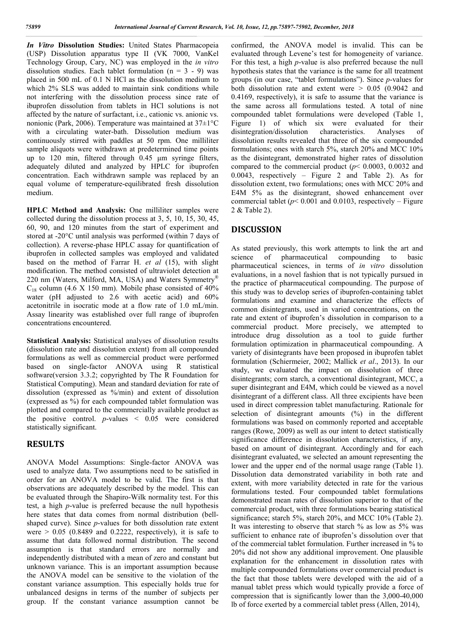*In Vitro* **Dissolution Studies:** United States Pharmacopeia (USP) Dissolution apparatus type II (VK 7000, VanKel Technology Group, Cary, NC) was employed in the *in vitro* dissolution studies. Each tablet formulation ( $n = 3 - 9$ ) was placed in 500 mL of 0.1 N HCl as the dissolution medium to which 2% SLS was added to maintain sink conditions while not interfering with the dissolution process since rate of ibuprofen dissolution from tablets in HCl solutions is not affected by the nature of surfactant, i.e., cationic vs. anionic vs. nonionic (Park, 2006). Temperature was maintained at 37±1°C with a circulating water-bath. Dissolution medium was continuously stirred with paddles at 50 rpm. One milliliter sample aliquots were withdrawn at predetermined time points up to 120 min, filtered through 0.45 μm syringe filters, adequately diluted and analyzed by HPLC for ibuprofen concentration. Each withdrawn sample was replaced by an equal volume of temperature-equilibrated fresh dissolution medium.

**HPLC Method and Analysis:** One milliliter samples were collected during the dissolution process at 3, 5, 10, 15, 30, 45, 60, 90, and 120 minutes from the start of experiment and stored at -20°C until analysis was performed (within 7 days of collection). A reverse-phase HPLC assay for quantification of ibuprofen in collected samples was employed and validated based on the method of Farrar H. *et al* (15), with slight modification. The method consisted of ultraviolet detection at 220 nm (Waters, Milford, MA, USA) and Waters Symmetry<sup>®</sup>  $C_{18}$  column (4.6 X 150 mm). Mobile phase consisted of 40% water (pH adjusted to 2.6 with acetic acid) and 60% acetonitrile in isocratic mode at a flow rate of 1.0 mL/min. Assay linearity was established over full range of ibuprofen concentrations encountered.

**Statistical Analysis:** Statistical analyses of dissolution results (dissolution rate and dissolution extent) from all compounded formulations as well as commercial product were performed based on single-factor ANOVA using R statistical software(version 3.3.2; copyrighted by The R Foundation for Statistical Computing). Mean and standard deviation for rate of dissolution (expressed as %/min) and extent of dissolution (expressed as %) for each compounded tablet formulation was plotted and compared to the commercially available product as the positive control.  $p$ -values  $\leq 0.05$  were considered statistically significant.

#### **RESULTS**

ANOVA Model Assumptions: Single-factor ANOVA was used to analyze data. Two assumptions need to be satisfied in order for an ANOVA model to be valid. The first is that observations are adequately described by the model. This can be evaluated through the Shapiro-Wilk normality test. For this test, a high *p*-value is preferred because the null hypothesis here states that data comes from normal distribution (bellshaped curve). Since *p*-values for both dissolution rate extent were  $> 0.05$  (0.8489 and 0.2222, respectively), it is safe to assume that data followed normal distribution. The second assumption is that standard errors are normally and independently distributed with a mean of zero and constant but unknown variance. This is an important assumption because the ANOVA model can be sensitive to the violation of the constant variance assumption. This especially holds true for unbalanced designs in terms of the number of subjects per group. If the constant variance assumption cannot be

confirmed, the ANOVA model is invalid. This can be evaluated through Levene's test for homogeneity of variance. For this test, a high *p*-value is also preferred because the null hypothesis states that the variance is the same for all treatment groups (in our case, "tablet formulations"). Since *p*-values for both dissolution rate and extent were > 0.05 (0.9042 and 0.4169, respectively), it is safe to assume that the variance is the same across all formulations tested. A total of nine compounded tablet formulations were developed (Table 1, Figure 1) of which six were evaluated for their disintegration/dissolution characteristics. Analyses of disintegration/dissolution characteristics. Analyses of dissolution results revealed that three of the six compounded formulations; ones with starch 5%, starch 20% and MCC 10% as the disintegrant, demonstrated higher rates of dissolution compared to the commercial product (*p*< 0.0003, 0.0032 and 0.0043, respectively – Figure 2 and Table 2). As for dissolution extent, two formulations; ones with MCC 20% and E4M 5% as the disintegrant, showed enhancement over commercial tablet ( $p$ < 0.001 and 0.0103, respectively – Figure 2 & Table 2).

#### **DISCUSSION**

As stated previously, this work attempts to link the art and science of pharmaceutical compounding to basic pharmaceutical sciences, in terms of *in vitro* dissolution evaluations, in a novel fashion that is not typically pursued in the practice of pharmaceutical compounding. The purpose of this study was to develop series of ibuprofen-containing tablet formulations and examine and characterize the effects of common disintegrants, used in varied concentrations, on the rate and extent of ibuprofen's dissolution in comparison to a commercial product. More precisely, we attempted to introduce drug dissolution as a tool to guide further formulation optimization in pharmaceutical compounding. A variety of disintegrants have been proposed in ibuprofen tablet formulation (Schiermeier, 2002; Mallick *et al*., 2013). In our study, we evaluated the impact on dissolution of three disintegrants; corn starch, a conventional disintegrant, MCC, a super disintegrant and E4M, which could be viewed as a novel disintegrant of a different class. All three excipients have been used in direct compression tablet manufacturing. Rationale for selection of disintegrant amounts (%) in the different formulations was based on commonly reported and acceptable ranges (Rowe, 2009) as well as our intent to detect statistically significance difference in dissolution characteristics, if any, based on amount of disintegrant. Accordingly and for each disintegrant evaluated, we selected an amount representing the lower and the upper end of the normal usage range (Table 1). Dissolution data demonstrated variability in both rate and extent, with more variability detected in rate for the various formulations tested. Four compounded tablet formulations demonstrated mean rates of dissolution superior to that of the commercial product, with three formulations bearing statistical significance; starch 5%, starch 20%, and MCC 10% (Table 2). It was interesting to observe that starch % as low as 5% was sufficient to enhance rate of ibuprofen's dissolution over that of the commercial tablet formulation. Further increased in % to 20% did not show any additional improvement. One plausible explanation for the enhancement in dissolution rates with multiple compounded formulations over commercial product is the fact that those tablets were developed with the aid of a manual tablet press which would typically provide a force of compression that is significantly lower than the 3,000-40,000 lb of force exerted by a commercial tablet press (Allen, 2014),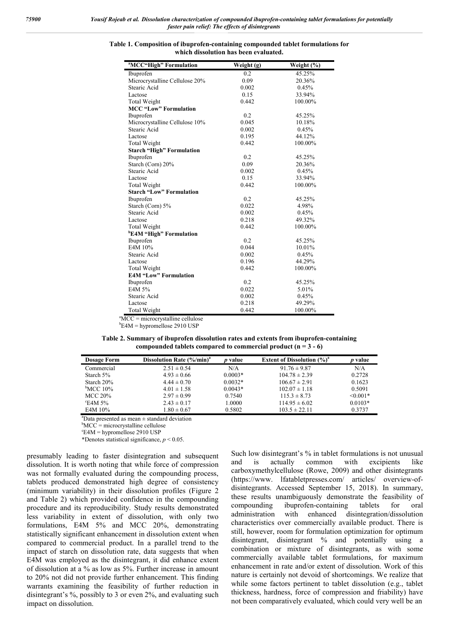| <sup>a</sup> MCC"High" Formulation | Weight (g)       | Weight (%) |  |
|------------------------------------|------------------|------------|--|
| Ibuprofen                          | 0.2              | 45.25%     |  |
| Microcrystalline Cellulose 20%     | 0.09             | 20.36%     |  |
| Stearic Acid                       | 0.002            | 0.45%      |  |
| Lactose                            | 0.15             | 33.94%     |  |
| <b>Total Weight</b>                | 0.442<br>100.00% |            |  |
| <b>MCC "Low" Formulation</b>       |                  |            |  |
| Ibuprofen                          | 0.2<br>45.25%    |            |  |
| Microcrystalline Cellulose 10%     | 0.045<br>10.18%  |            |  |
| Stearic Acid                       | 0.002            | 0.45%      |  |
| Lactose                            | 0.195            | 44.12%     |  |
| <b>Total Weight</b>                | 0.442            | 100.00%    |  |
| <b>Starch "High" Formulation</b>   |                  |            |  |
| Ibuprofen                          | 0.2              | 45.25%     |  |
| Starch (Corn) 20%                  | 0.09             | 20.36%     |  |
| Stearic Acid                       | 0.002            | 0.45%      |  |
| Lactose                            | 0.15             | 33.94%     |  |
| Total Weight                       | 0.442            | 100.00%    |  |
| <b>Starch "Low" Formulation</b>    |                  |            |  |
| Ibuprofen                          | 0.2              | 45.25%     |  |
| Starch (Corn) 5%                   | 0.022            | 4.98%      |  |
| Stearic Acid                       | 0.45%<br>0.002   |            |  |
| Lactose                            | 0.218            | 49.32%     |  |
| Total Weight                       | 0.442            | 100.00%    |  |
| <b>E4M "High" Formulation</b>      |                  |            |  |
| Ibuprofen                          | 0.2              | 45.25%     |  |
| E4M 10%                            | 0.044            | 10.01%     |  |
| Stearic Acid                       | 0.002            | 0.45%      |  |
| Lactose                            | 0.196            | 44.29%     |  |
| Total Weight                       | 0.442            | 100.00%    |  |
| <b>E4M "Low" Formulation</b>       |                  |            |  |
| Ibuprofen                          | 0.2              | 45.25%     |  |
| E4M 5%                             | 0.022            | 5.01%      |  |
| Stearic Acid                       | 0.002            | 0.45%      |  |
| Lactose                            | 0.218            | 49.29%     |  |
| <b>Total Weight</b>                | 0.442            | 100.00%    |  |

**Table 1. Composition of ibuprofen-containing compounded tablet formulations for which dissolution has been evaluated.**

 $\overline{MCC}$  = microcrystalline cellulose

 $b$ E4M = hypromellose 2910 USP

| Table 2. Summary of ibuprofen dissolution rates and extents from ibuprofen-containing |
|---------------------------------------------------------------------------------------|
| compounded tablets compared to commercial product $(n = 3 - 6)$                       |

| <b>Dosage Form</b> | Dissolution Rate (%/min) <sup>a</sup> | <i>p</i> value | <b>Extent of Dissolution <math>(\%)^a</math></b> | <i>p</i> value |
|--------------------|---------------------------------------|----------------|--------------------------------------------------|----------------|
| Commercial         | $2.51 \pm 0.54$                       | N/A            | $91.76 \pm 9.87$                                 | N/A            |
| Starch $5\%$       | $4.93 \pm 0.66$                       | $0.0003*$      | $104.78 \pm 2.39$                                | 0.2728         |
| Starch 20%         | $4.44 \pm 0.70$                       | $0.0032*$      | $106.67 \pm 2.91$                                | 0.1623         |
| $\rm ^{b}MCC$ 10%  | $4.01 \pm 1.58$                       | $0.0043*$      | $102.07 \pm 1.18$                                | 0.5091         |
| MCC 20%            | $2.97 \pm 0.99$                       | 0.7540         | $115.3 \pm 8.73$                                 | $< 0.001*$     |
| $\mathrm{E4M}$ 5%  | $2.43 \pm 0.17$                       | 1.0000         | $114.95 \pm 6.02$                                | $0.0103*$      |
| E4M 10%            | $1.80 \pm 0.67$                       | 0.5802         | $103.5 \pm 22.11$                                | 0.3737         |

a Data presented as mean ± standard deviation

b MCC = microcrystalline cellulose

c E4M = hypromellose 2910 USP

\*Denotes statistical significance,  $p < 0.05$ .

presumably leading to faster disintegration and subsequent dissolution. It is worth noting that while force of compression was not formally evaluated during the compounding process, tablets produced demonstrated high degree of consistency (minimum variability) in their dissolution profiles (Figure 2 and Table 2) which provided confidence in the compounding procedure and its reproducibility. Study results demonstrated less variability in extent of dissolution, with only two formulations, E4M 5% and MCC 20%, demonstrating statistically significant enhancement in dissolution extent when compared to commercial product. In a parallel trend to the impact of starch on dissolution rate, data suggests that when E4M was employed as the disintegrant, it did enhance extent of dissolution at a % as low as 5%. Further increase in amount to 20% not did not provide further enhancement. This finding warrants examining the feasibility of further reduction in disintegrant's %, possibly to 3 or even 2%, and evaluating such impact on dissolution.

Such low disintegrant's % in tablet formulations is not unusual and is actually common with excipients like carboxymethylcellulose (Rowe, 2009) and other disintegrants (https://www. lfatabletpresses.com/ articles/ overview-ofdisintegrants. Accessed September 15, 2018). In summary, these results unambiguously demonstrate the feasibility of compounding ibuprofen-containing tablets for oral administration with enhanced disintegration/dissolution characteristics over commercially available product. There is still, however, room for formulation optimization for optimum disintegrant, disintegrant % and potentially using a combination or mixture of disintegrants, as with some commercially available tablet formulations, for maximum enhancement in rate and/or extent of dissolution. Work of this nature is certainly not devoid of shortcomings. We realize that while some factors pertinent to tablet dissolution (e.g., tablet thickness, hardness, force of compression and friability) have not been comparatively evaluated, which could very well be an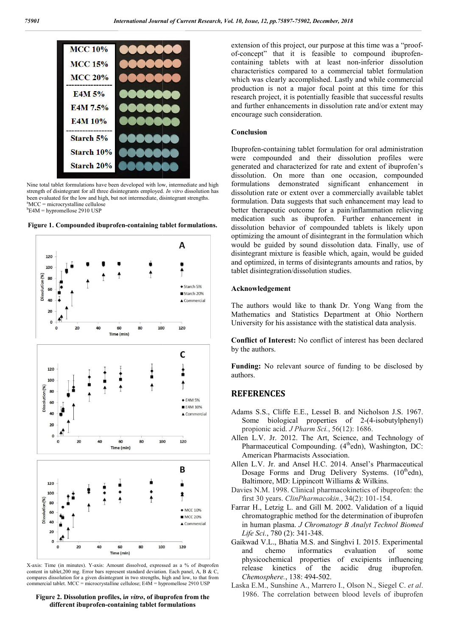

Nine total tablet formulations have been developed with low, intermediate and high strength of disintegrant for all three disintegrants employed. *In vitro* dissolution has been evaluated for the low and high, but not intermediate, disintegrant strengths. a MCC = microcrystalline cellulose b E4M = hypromellose 2910 USP





X-axis: Time (in minutes). Y-axis: Amount dissolved, expressed as a % of ibuprofen content in tablet,200 mg. Error bars represent standard deviation. Each panel, A, B & C, compares dissolution for a given disintegrant in two strengths, high and low, to that from commercial tablet. MCC = microcrystalline cellulose; E4M = hypromellose 2910 USP

**Figure 2. Dissolution profiles, i***n vitro***, of ibuprofen from the different ibuprofen-containing tablet formulations**

of-concept" that it is feasible to compound ibuprofencontaining tablets with at least non-inferior dissolution characteristics compared to a commercial tablet formulation which was clearly accomplished. Lastly and while commercial production is not a major focal point at this time for this research project, it is potentially feasible that successful results and further enhancements in dissolution rate and/or extent may encourage such consideration. extension of this project, our purpose at this time was a "proofharacteristics compared to a commercial tablet formulation<br>which was clearly accomplished. Lastly and while commercial<br>roduction is not a major focal point at this time for this<br>esearch project, it is potentially feasible

#### **Conclusion**

Ibuprofen-containing tablet formulation for oral administration were compounded and their dissolution profiles were generated and characterized for rat dissolution. On more than one occasion, compounded formulations demonstrated significant enhancement in dissolution rate or extent over a commercially available tablet formulation. Data suggests that such enhancement may lead to better therapeutic outcome for a pain/inflammation relieving medication such as ibuprofen. Further enhancement in dissolution behavior of compounded tablets is likely upon optimizing the amount of disintegrant in the formulation which would be guided by sound dissolution data. Finally, use of disintegrant mixture is feasible which, again, would be guided and optimized, in terms of disintegrants amounts and ratios, by tablet disintegration/dissolution studies. behavior of compounded tablets is likely upon<br>hizing the amount of disintegrant in the formulation which<br>d be guided by sound dissolution data. Finally, use of<br>tegrant mixture is feasible which, again, would be guided<br>ppti

#### **Acknowledgement**

The authors would like to thank Dr. Yong Wang from the Mathematics and Statistics Department at Ohio Northern University for his assistance with the statistical data analysis.

**Conflict of Interest:** No conflict of interest has been declared by the authors. assistance with the statistical data analysis.<br> **est:** No conflict of interest has been declared<br>
evant source of funding to be disclosed by<br>
fe E.E., Lessel B. and Nicholson J.S. 1967.<br>
Fical properties of 2-(4-isobutylph

Funding: No relevant source of funding to be disclosed by authors.

#### **REFERENCES**

- Adams S.S., Cliffe E.E., Lessel B. and Nicholson J.S. 1967. Some biological properties of 2-(4-isobutylphenyl) propionic acid. *J Pharm Sci. Pharm Sci.*, 56(12): 1686.
- Allen L.V. Jr. 2012. The Art, Science, and Technology of Pharmaceutical Compounding. (4<sup>th</sup>edn), Washington, DC: American Pharmacists Association.
- Allen L.V. Jr. and Ansel H.C. 2014. Ansel's Pharmaceutical Dosage Forms and Drug Delivery Systems. (10<sup>th</sup>edn), Baltimore, MD: Lippincott Williams & Wilkins.
- Davies N.M. 1998. Clinical pharmacokinetics of ibuprofen: the first 30 years. *ClinPharmacokin.*, 34(2): 101-154. first 30 years. *ClinPharmacokin.*
- Farrar H., Letzig L. and Gill M. 2002. Validation of a liquid chromatographic method for the determination of ibuprofen in human plasma. *J Chromatogr B Analyt Technol Biomed Life Sci.*, 780 (2): 341-348.
- Gaikwad V.L., Bhatia M.S. and Singhvi I. 2015. Experimental and chemo informatics evaluation of some physicochemical properties of excipients influencing<br>release kinetics of the acidic drug ibuprofen. release kinetics of the acidic drug ibuprofen. *Chemosphere.*, 138: 494-502. Chemosphere., 138: 494-502.<br>Laska E.M., Sunshine A., Marrero I., Olson N., Siegel C. et al.
- 1986. The correlation between blood levels of ibuprofen